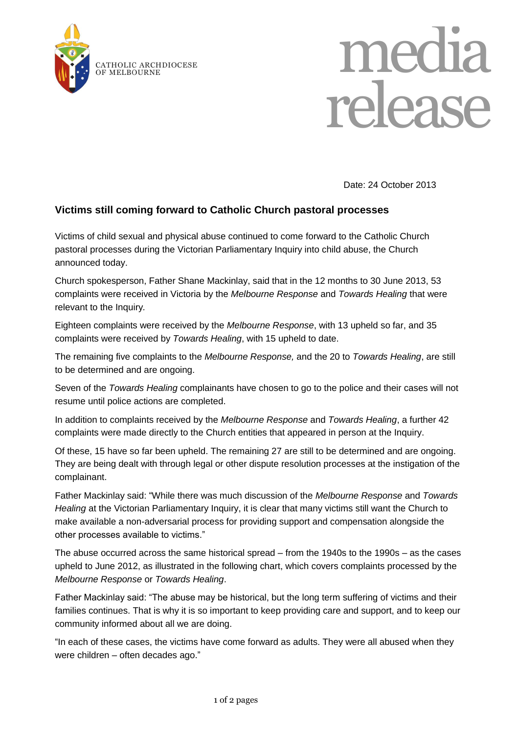



Date: 24 October 2013

## **Victims still coming forward to Catholic Church pastoral processes**

Victims of child sexual and physical abuse continued to come forward to the Catholic Church pastoral processes during the Victorian Parliamentary Inquiry into child abuse, the Church announced today.

Church spokesperson, Father Shane Mackinlay, said that in the 12 months to 30 June 2013, 53 complaints were received in Victoria by the *Melbourne Response* and *Towards Healing* that were relevant to the Inquiry*.* 

Eighteen complaints were received by the *Melbourne Response*, with 13 upheld so far, and 35 complaints were received by *Towards Healing*, with 15 upheld to date.

The remaining five complaints to the *Melbourne Response,* and the 20 to *Towards Healing*, are still to be determined and are ongoing.

Seven of the *Towards Healing* complainants have chosen to go to the police and their cases will not resume until police actions are completed.

In addition to complaints received by the *Melbourne Response* and *Towards Healing*, a further 42 complaints were made directly to the Church entities that appeared in person at the Inquiry.

Of these, 15 have so far been upheld. The remaining 27 are still to be determined and are ongoing. They are being dealt with through legal or other dispute resolution processes at the instigation of the complainant.

Father Mackinlay said: "While there was much discussion of the *Melbourne Response* and *Towards Healing* at the Victorian Parliamentary Inquiry, it is clear that many victims still want the Church to make available a non-adversarial process for providing support and compensation alongside the other processes available to victims."

The abuse occurred across the same historical spread – from the 1940s to the 1990s – as the cases upheld to June 2012, as illustrated in the following chart, which covers complaints processed by the *Melbourne Response* or *Towards Healing*.

Father Mackinlay said: "The abuse may be historical, but the long term suffering of victims and their families continues. That is why it is so important to keep providing care and support, and to keep our community informed about all we are doing.

"In each of these cases, the victims have come forward as adults. They were all abused when they were children – often decades ago."